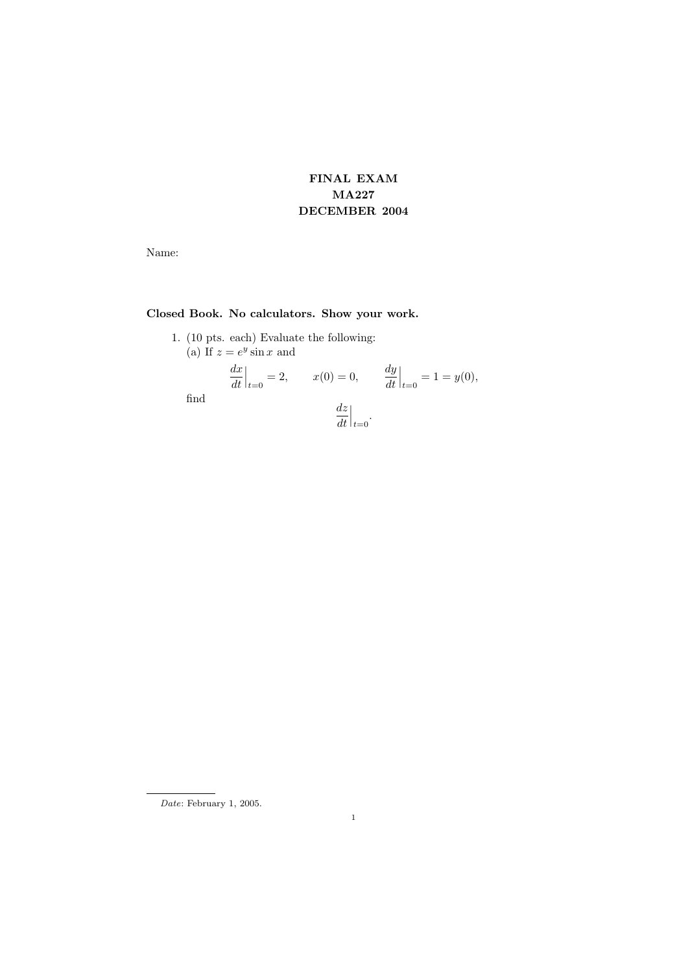## FINAL EXAM MA227 DECEMBER 2004

Name:

## Closed Book. No calculators. Show your work.

- 1. (10 pts. each) Evaluate the following:
	- (a) If  $z = e^y \sin x$  and

$$
\left. \frac{dx}{dt} \right|_{t=0} = 2, \qquad x(0) = 0, \qquad \left. \frac{dy}{dt} \right|_{t=0} = 1 = y(0),
$$
find
$$
\left. \frac{dz}{dt} \right|_{t=0}.
$$

Date: February 1, 2005.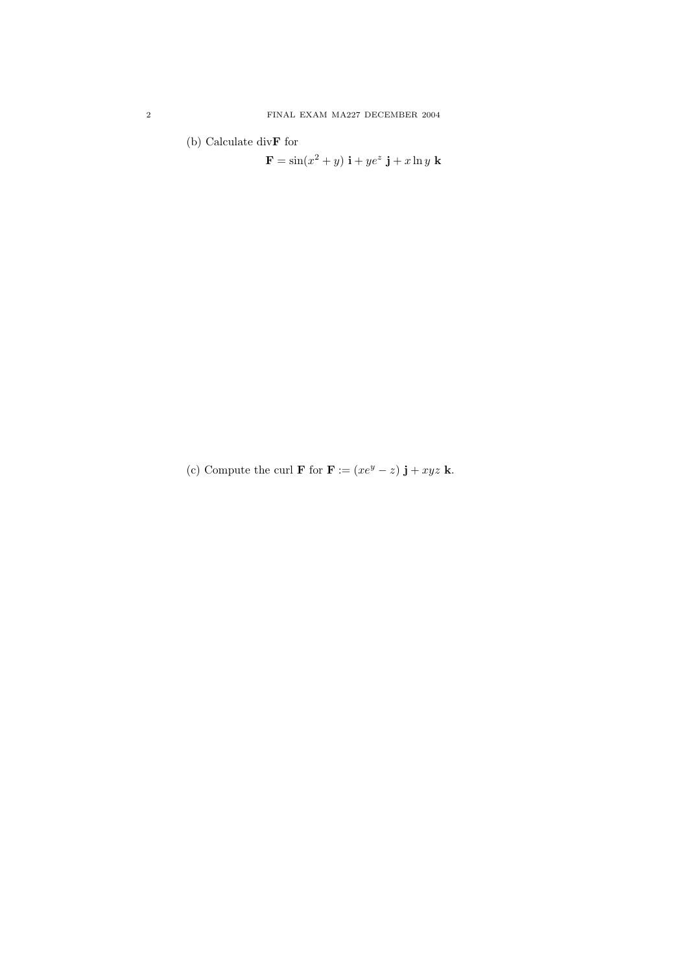(b) Calculate div $\mathbf F$  for

 $\mathbf{F} = \sin(x^2 + y) \mathbf{i} + ye^z \mathbf{j} + x \ln y \mathbf{k}$ 

(c) Compute the curl **F** for **F** :=  $(xe^y - z)$  **j** +  $xyz$  **k**.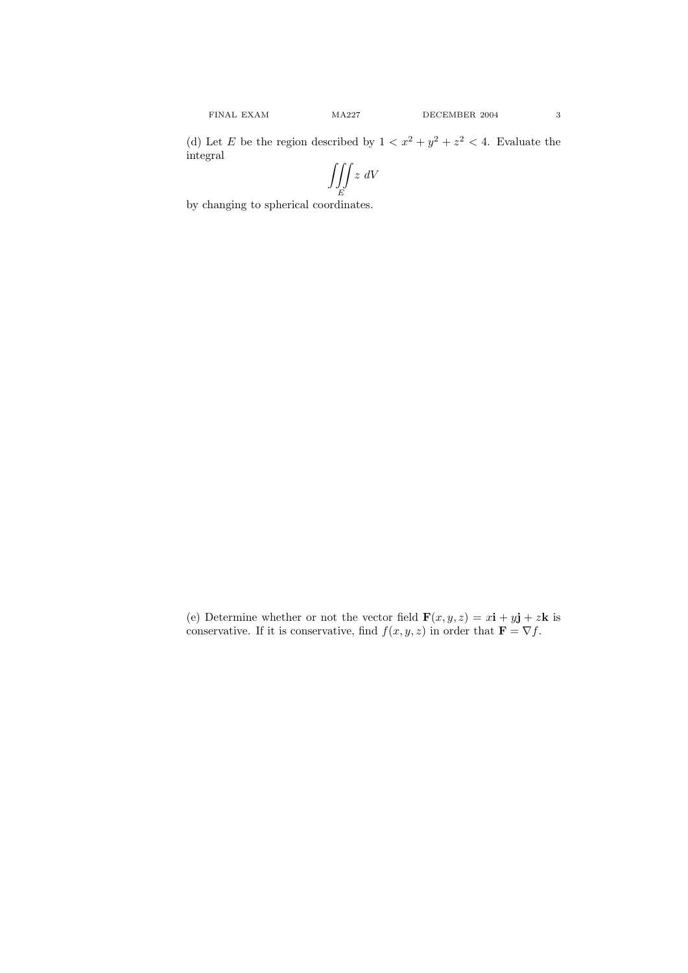(d) Let E be the region described by  $1 < x^2 + y^2 + z^2 < 4$ . Evaluate the integral

$$
\iiint_E z \ dV
$$

by changing to spherical coordinates.

(e) Determine whether or not the vector field  $\mathbf{F}(x, y, z) = x\mathbf{i} + y\mathbf{j} + z\mathbf{k}$  is conservative. If it is conservative, find  $f(x, y, z)$  in order that  $\mathbf{F} = \nabla f$ .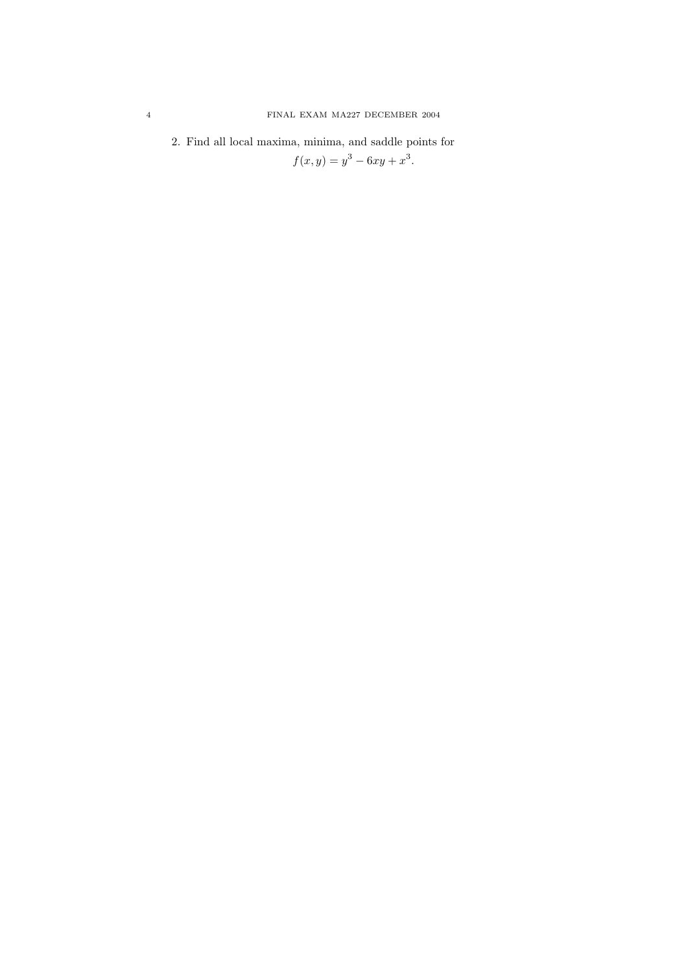2. Find all local maxima, minima, and saddle points for

 $f(x, y) = y^3 - 6xy + x^3.$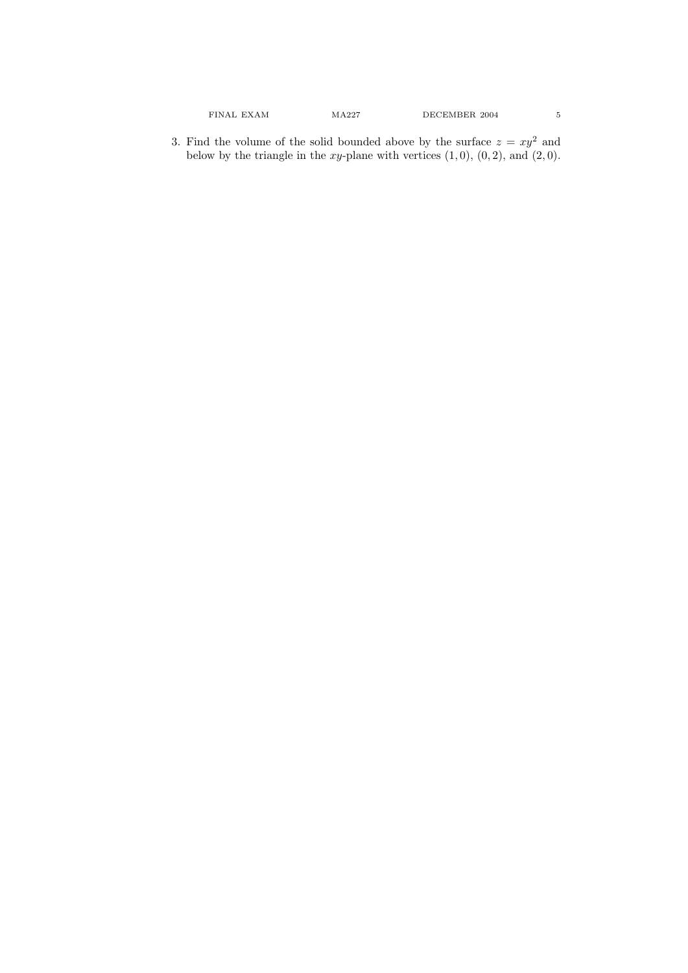3. Find the volume of the solid bounded above by the surface  $z = xy^2$  and below by the triangle in the xy-plane with vertices  $(1,0)$ ,  $(0,2)$ , and  $(2,0)$ .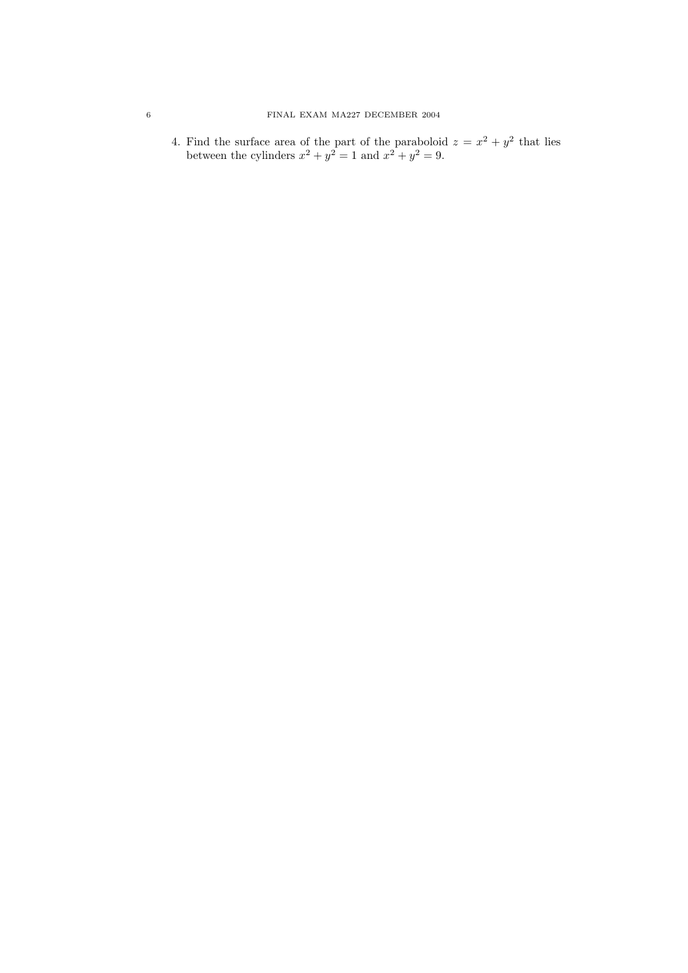## 6 FINAL EXAM MA227 DECEMBER 2004

4. Find the surface area of the part of the paraboloid  $z = x^2 + y^2$  that lies between the cylinders  $x^2 + y^2 = 1$  and  $x^2 + y^2 = 9$ .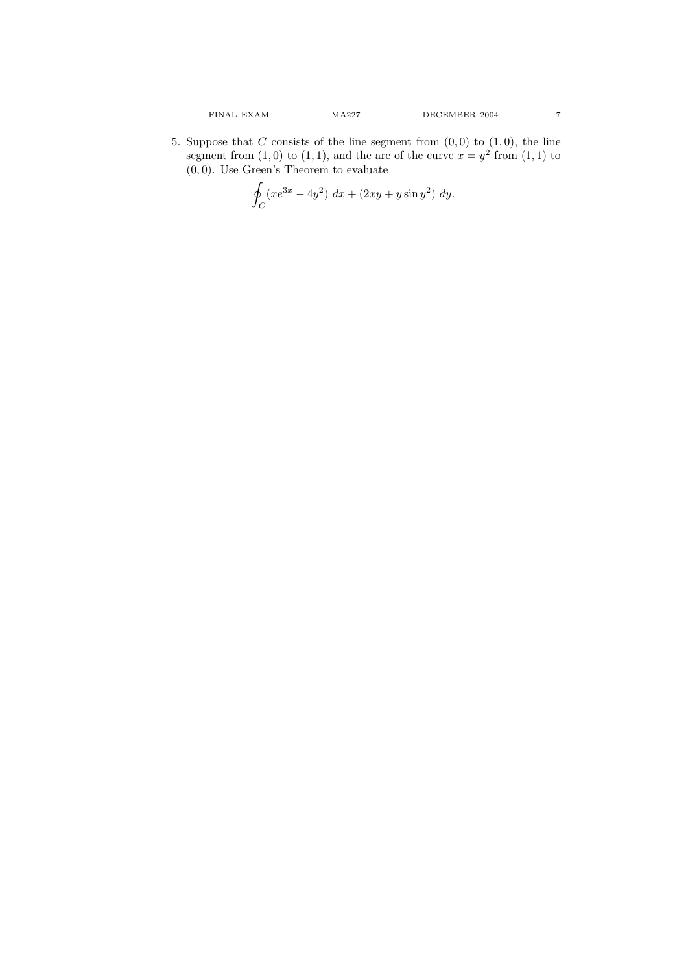5. Suppose that C consists of the line segment from  $(0,0)$  to  $(1,0)$ , the line segment from  $(1,0)$  to  $(1,1)$ , and the arc of the curve  $x=y^2$  from  $(1,1)$  to  $(0, 0)$ . Use Green's Theorem to evaluate

$$
\oint_C (xe^{3x} - 4y^2) \, dx + (2xy + y\sin y^2) \, dy.
$$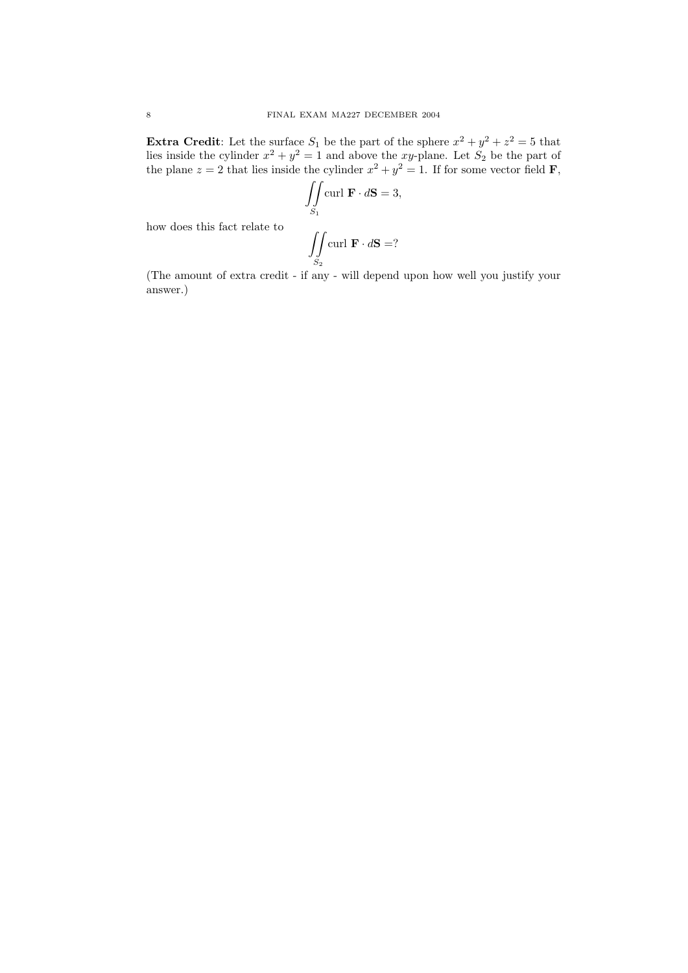**Extra Credit:** Let the surface  $S_1$  be the part of the sphere  $x^2 + y^2 + z^2 = 5$  that lies inside the cylinder  $x^2 + y^2 = 1$  and above the xy-plane. Let  $S_2$  be the part of the plane  $z = 2$  that lies inside the cylinder  $x^2 + y^2 = 1$ . If for some vector field **F**,

$$
\iint_{S_1} \text{curl } \mathbf{F} \cdot d\mathbf{S} = 3,
$$

$$
\iint_{S_2} \text{curl } \mathbf{F} \cdot d\mathbf{S} = ?
$$

how does this fact relate to

(The amount of extra credit - if any - will depend upon how well you justify your answer.)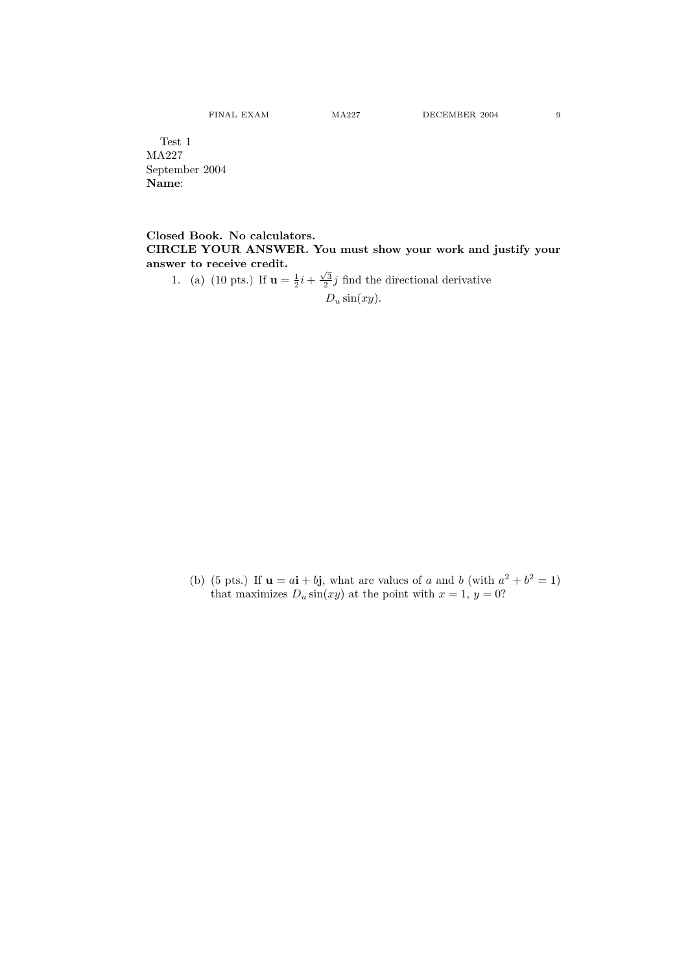Test 1 MA227 September 2004 Name:

Closed Book. No calculators. CIRCLE YOUR ANSWER. You must show your work and justify your answer to receive credit.

1. (a) (10 pts.) If  $\mathbf{u} = \frac{1}{2}i + \frac{\sqrt{3}}{2}j$  find the directional derivative

 $D_u \sin(xy)$ .

(b) (5 pts.) If  $\mathbf{u} = a\mathbf{i} + b\mathbf{j}$ , what are values of a and b (with  $a^2 + b^2 = 1$ ) that maximizes  $D_u \sin(xy)$  at the point with  $x = 1, y = 0$ ?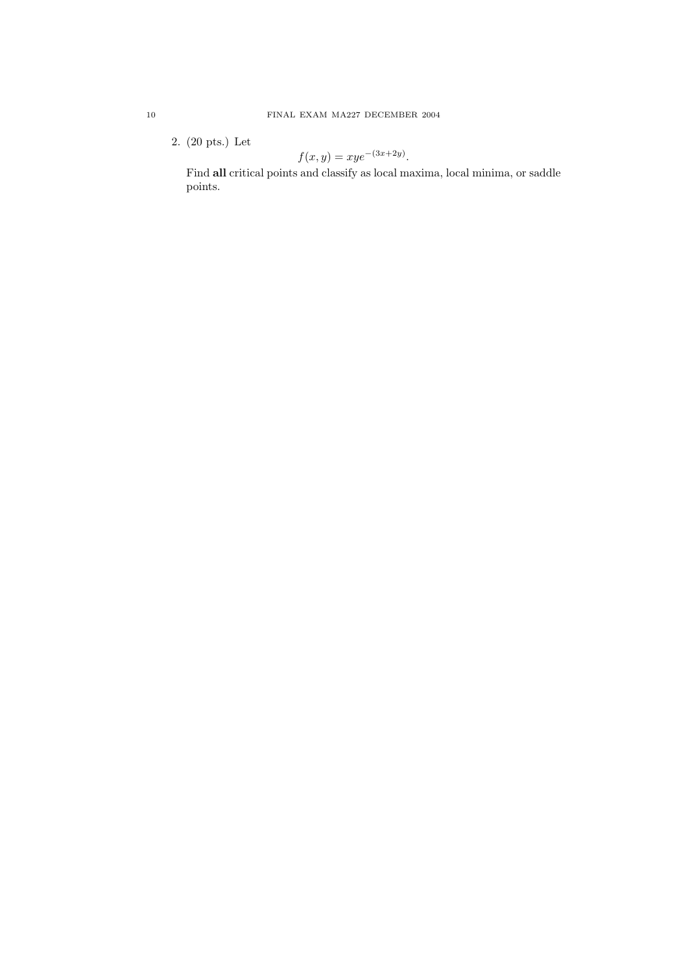2. (20 pts.) Let

$$
f(x,y) = xye^{-(3x+2y)}.
$$

Find all critical points and classify as local maxima, local minima, or saddle points.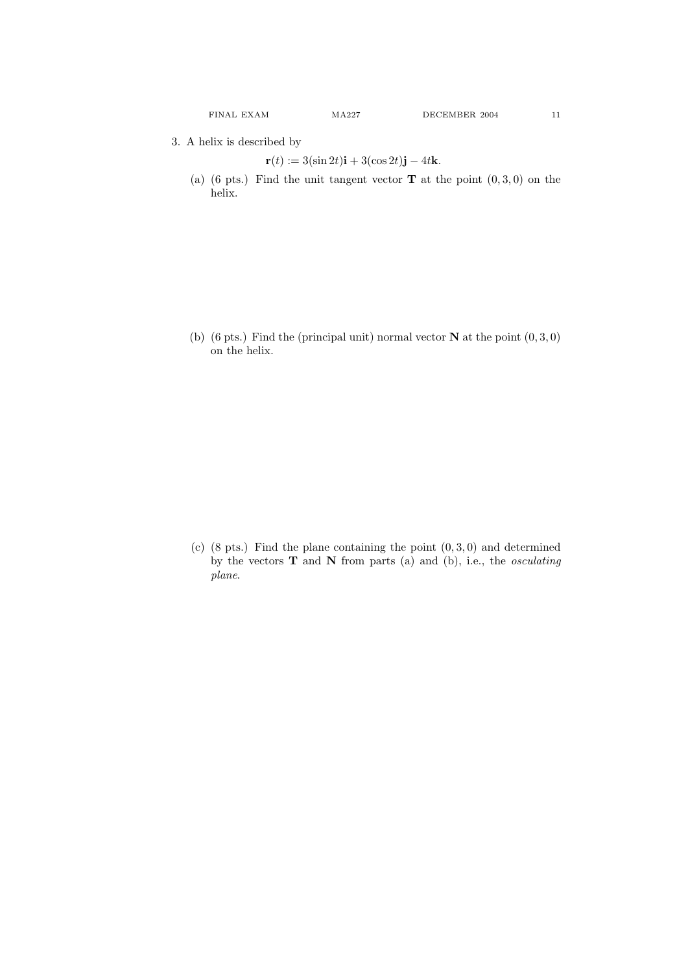3. A helix is described by

$$
\mathbf{r}(t) := 3(\sin 2t)\mathbf{i} + 3(\cos 2t)\mathbf{j} - 4t\mathbf{k}.
$$

(a) (6 pts.) Find the unit tangent vector  $T$  at the point  $(0,3,0)$  on the helix.

(b) (6 pts.) Find the (principal unit) normal vector  $N$  at the point  $(0,3,0)$ on the helix.

(c)  $(8 \text{ pts.})$  Find the plane containing the point  $(0, 3, 0)$  and determined by the vectors  $T$  and  $N$  from parts (a) and (b), i.e., the *osculating* plane.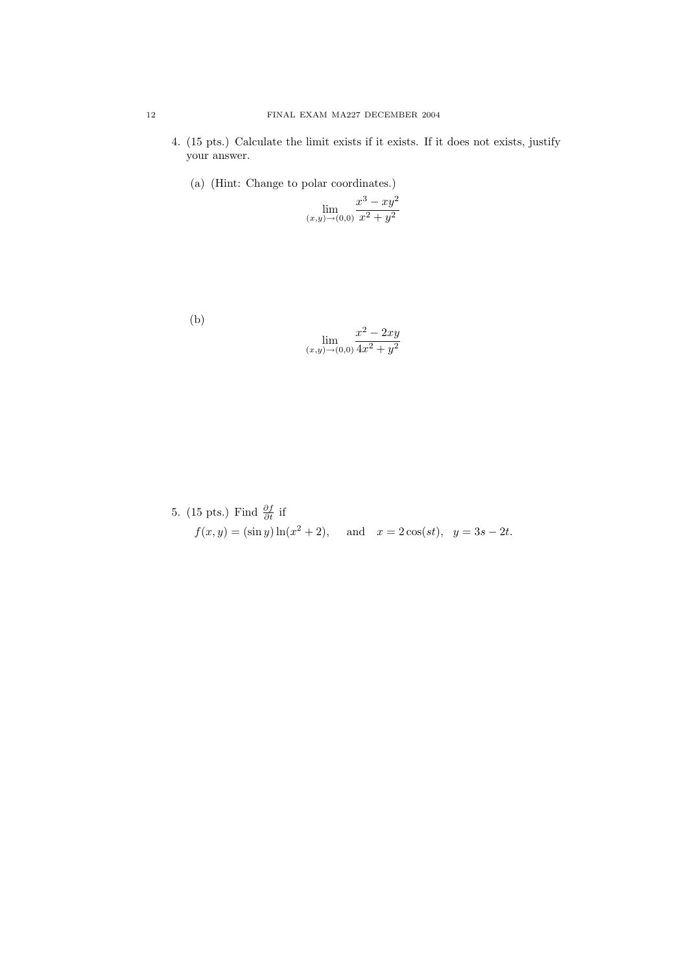- 4. (15 pts.) Calculate the limit exists if it exists. If it does not exists, justify your answer.
	- (a) (Hint: Change to polar coordinates.)

$$
\lim_{(x,y)\to(0,0)}\frac{x^3 - xy^2}{x^2 + y^2}
$$

(b)

$$
\lim_{(x,y)\to(0,0)}\frac{x^2 - 2xy}{4x^2 + y^2}
$$

5. (15 pts.) Find 
$$
\frac{\partial f}{\partial t}
$$
 if  
\n $f(x, y) = (\sin y) \ln(x^2 + 2)$ , and  $x = 2\cos(st)$ ,  $y = 3s - 2t$ .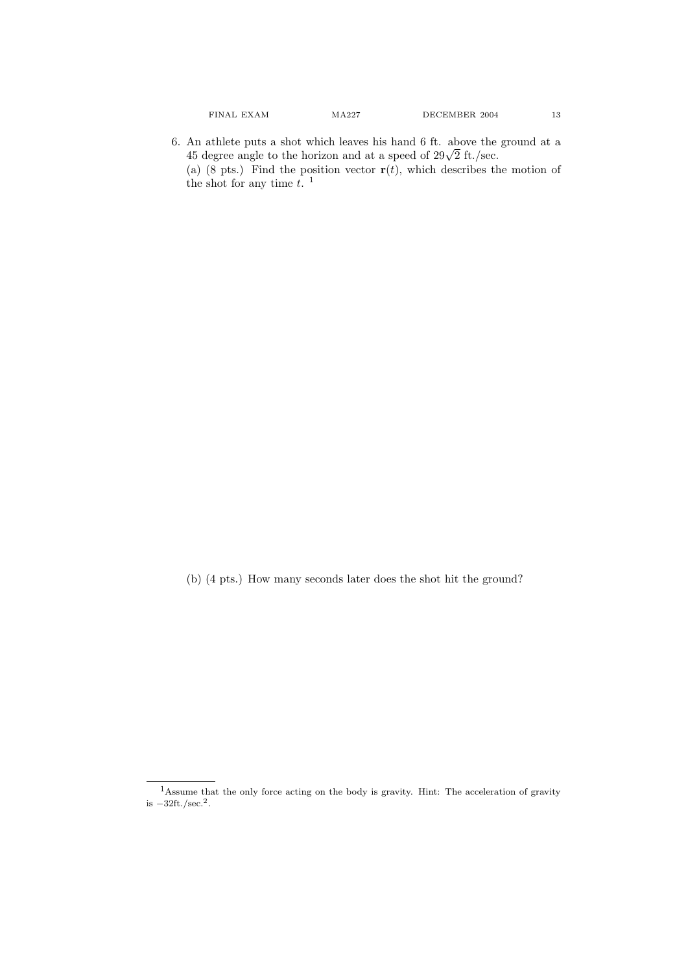6. An athlete puts a shot which leaves his hand 6 ft. above the ground at a An athlete puts a shot which leaves his hand  $\sigma$  it. above the 45 degree angle to the horizon and at a speed of  $29\sqrt{2}$  ft./sec. (a) (8 pts.) Find the position vector  $\mathbf{r}(t)$ , which describes the motion of the shot for any time  $t$ .<sup>1</sup>

(b) (4 pts.) How many seconds later does the shot hit the ground?

 $\rm ^1Assume$  that the only force acting on the body is gravity. Hint: The acceleration of gravity is  $-32 \text{ft./sec.}^2$ .